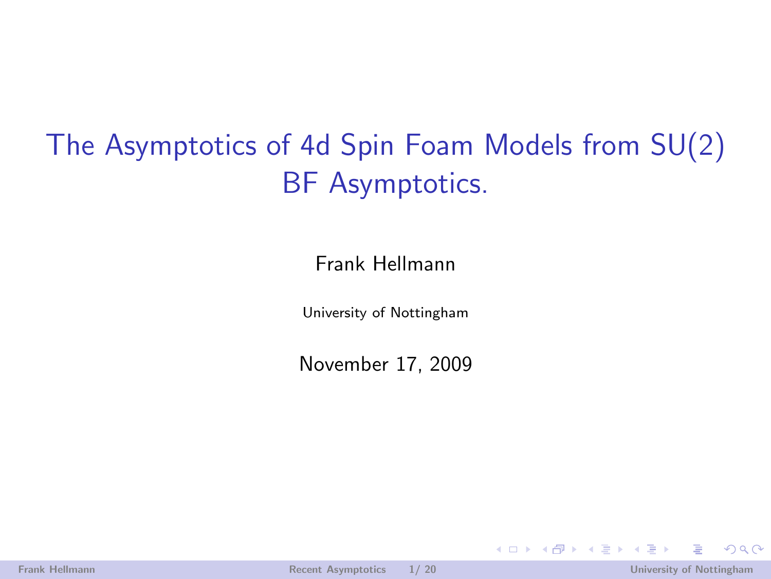The Asymptotics of 4d Spin Foam Models from SU(2) BF Asymptotics.

Frank Hellmann

University of Nottingham

November 17, 2009

<span id="page-0-0"></span> $\Rightarrow$   $\rightarrow$ 

 $\leftarrow$   $\Box$   $\rightarrow$   $\leftarrow$   $\leftarrow$   $\Box$   $\rightarrow$ 

 $\rightarrow$   $\rightarrow$   $\rightarrow$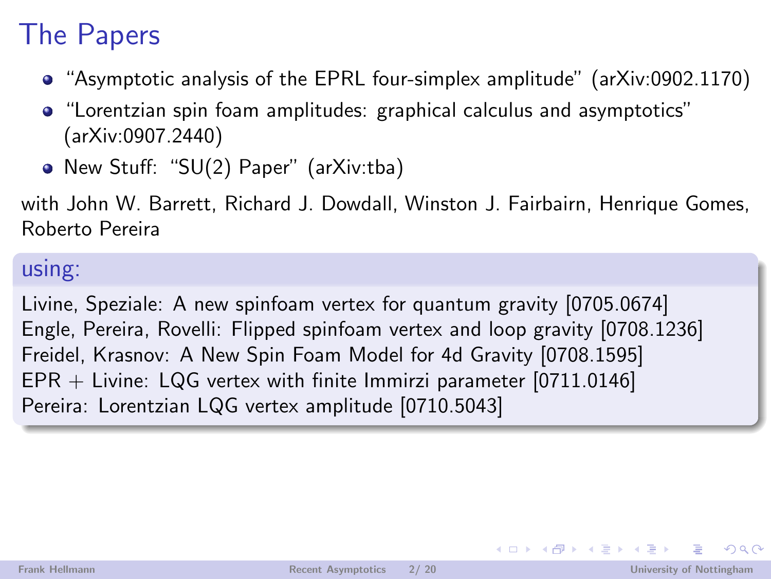## The Papers

- "Asymptotic analysis of the EPRL four-simplex amplitude" (arXiv:0902.1170)
- "Lorentzian spin foam amplitudes: graphical calculus and asymptotics" (arXiv:0907.2440)
- New Stuff: "SU(2) Paper" (arXiv:tba)

with John W. Barrett, Richard J. Dowdall, Winston J. Fairbairn, Henrique Gomes, Roberto Pereira

### using:

Livine, Speziale: A new spinfoam vertex for quantum gravity [0705.0674] Engle, Pereira, Rovelli: Flipped spinfoam vertex and loop gravity [0708.1236] Freidel, Krasnov: A New Spin Foam Model for 4d Gravity [0708.1595] EPR + Livine: LQG vertex with finite Immirzi parameter [0711.0146] Pereira: Lorentzian LQG vertex amplitude [0710.5043]

イロト イ押 トイヨ トイヨト

 $QQ$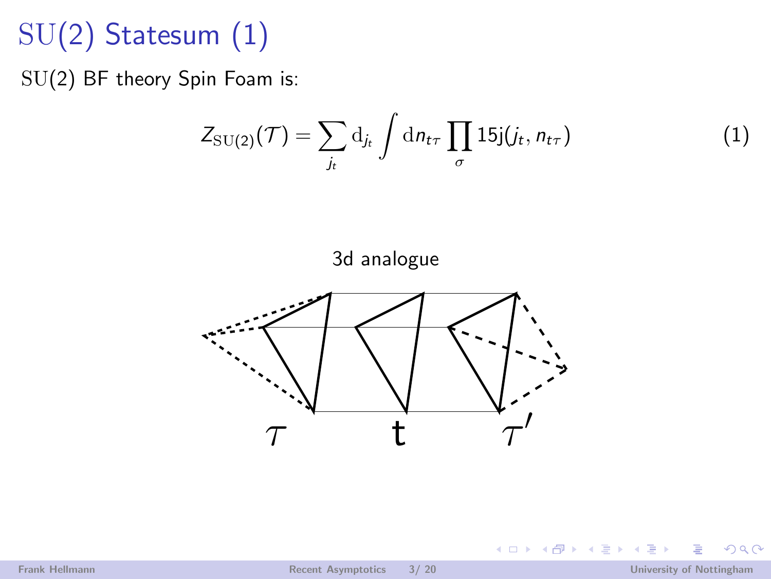# SU(2) Statesum (1)

SU(2) BF theory Spin Foam is:

$$
Z_{\rm SU(2)}(\mathcal{T}) = \sum_{j_t} \mathrm{d}_{j_t} \int \mathrm{d}n_{t\tau} \prod_{\sigma} 15 \mathrm{j}(j_t, n_{t\tau}) \tag{1}
$$

**(ロ) (伊)** 

ミト ∍ **II** 





 $2990$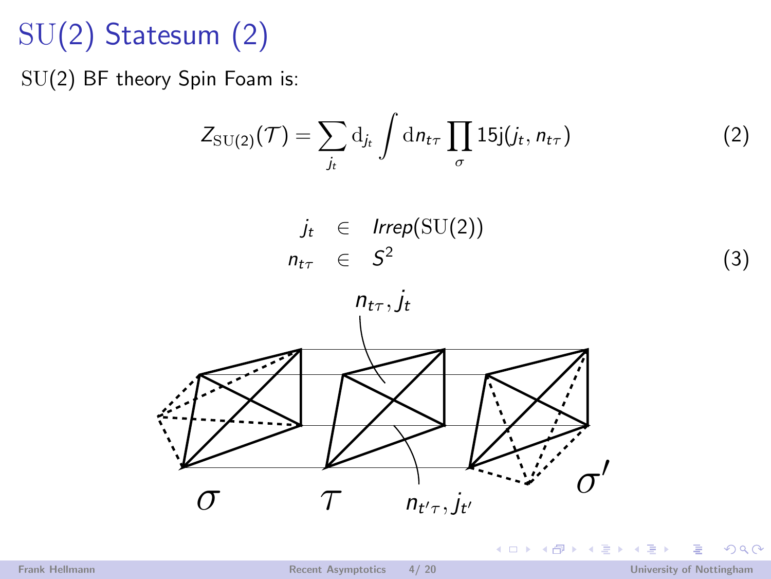# SU(2) Statesum (2)

SU(2) BF theory Spin Foam is:

$$
Z_{\rm SU(2)}(\mathcal{T}) = \sum_{j_t} \mathrm{d}_{j_t} \int \mathrm{d}n_{t\tau} \prod_{\sigma} 15 \mathrm{j}(j_t, n_{t\tau}) \tag{2}
$$

**(ロ) (伊)** 

 $-4.25 + 4$ 

 $j_t \in \text{Irrep}(\mathrm{SU}(2))$  $n_{t\tau}$   $\in$   $S^2$ 



 $\mathbb{R}$  is

<span id="page-3-0"></span> $2990$ 

(3)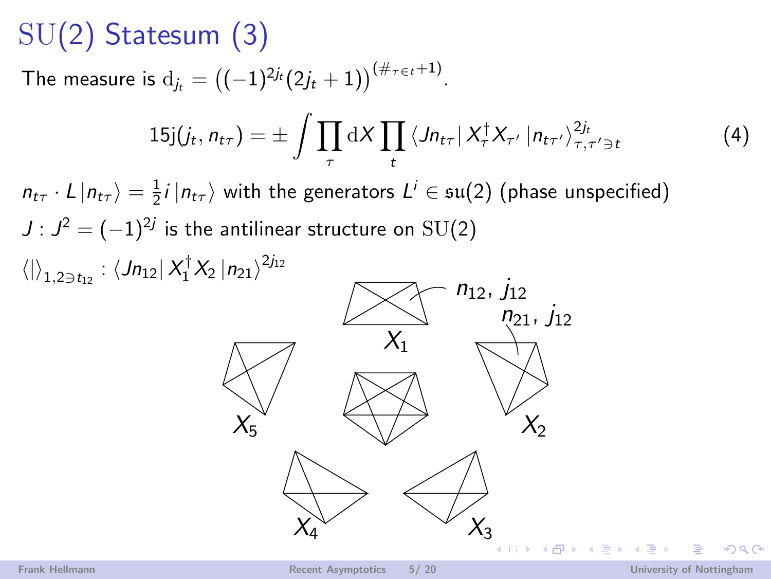# SU(2) Statesum (3)

The measure is  ${\rm d}_{j_t} = \left((-1)^{2j_t}(2j_t+1)\right)^{(\#\tau \in t+1)}.$ 

$$
15j(j_t, n_{t\tau}) = \pm \int \prod_{\tau} dX \prod_t \left\langle J n_{t\tau} \right| X_{\tau}^{\dagger} X_{\tau'} \left| n_{t\tau'} \right\rangle_{\tau, \tau' \ni t}^{2j_t}
$$
(4)

 $n_{t\tau} \cdot L | n_{t\tau} \rangle = \frac{1}{2} i | n_{t\tau} \rangle$  with the generators  $L^i \in \mathfrak{su}(2)$  (phase unspecified)  $J$  :  $J^2 = (-1)^{2j}$  is the antilinear structure on  $\mathrm{SU}(2)$  $\langle |\rangle_{1,2\ni t_{12}}: \langle Jn_{12}| X_{1}^{\dagger} X_{2} |n_{21} \rangle^{2j_{12}}$ 



つひへ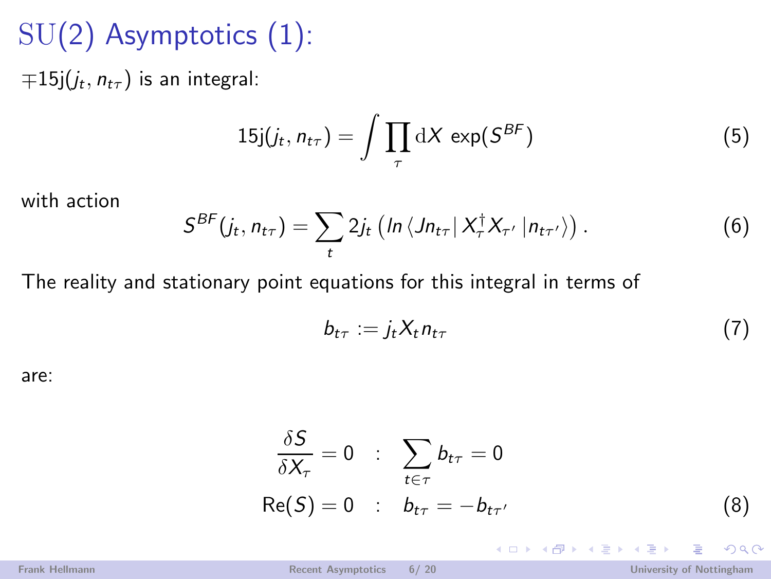# SU(2) Asymptotics (1):

 $\mp 15$ j $(j_t, n_{t\tau})$  is an integral:

$$
15j(j_t, n_{t\tau}) = \int \prod_{\tau} dX \exp(S^{BF}) \tag{5}
$$

with action

$$
S^{BF}(j_t, n_{t\tau}) = \sum_t 2j_t \left( \ln \left\langle Jn_{t\tau} \, \big| \, X_\tau^\dagger X_{\tau'} \, | n_{t\tau'} \right\rangle \right). \tag{6}
$$

The reality and stationary point equations for this integral in terms of

$$
b_{t\tau} := j_t X_t n_{t\tau} \tag{7}
$$

are:

$$
\frac{\delta S}{\delta X_{\tau}} = 0 \quad : \quad \sum_{t \in \tau} b_{t\tau} = 0
$$
  
Re(S) = 0 \quad : \quad b\_{t\tau} = -b\_{t\tau'} \tag{8}

イロメ イ伊 メ イヨメ イヨメ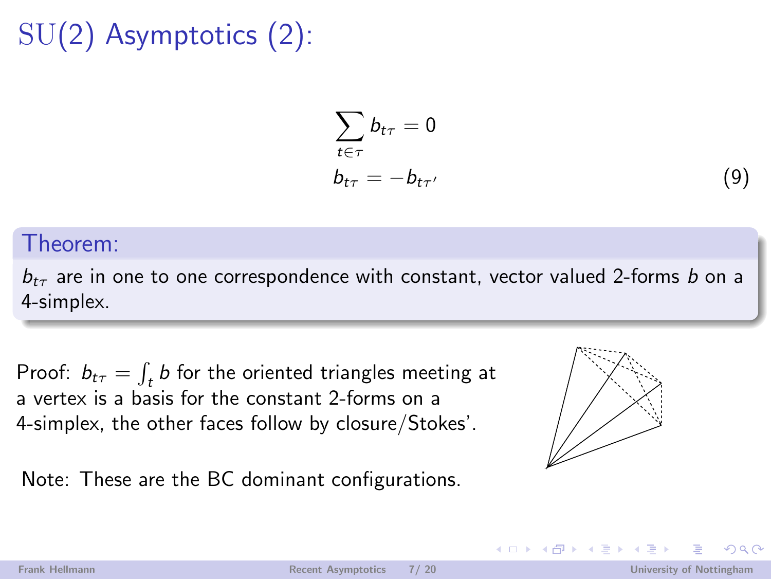# SU(2) Asymptotics (2):

$$
\sum_{t \in \tau} b_{t\tau} = 0
$$
  
\n
$$
b_{t\tau} = -b_{t\tau'}
$$
\n(9)

#### Theorem:

 $b_{t\tau}$  are in one to one correspondence with constant, vector valued 2-forms b on a 4-simplex.

Proof:  $b_{t\tau} = \int_t b$  for the oriented triangles meeting at a vertex is a basis for the constant 2-forms on a 4-simplex, the other faces follow by closure/Stokes'.

Note: These are the BC dominant configurations.

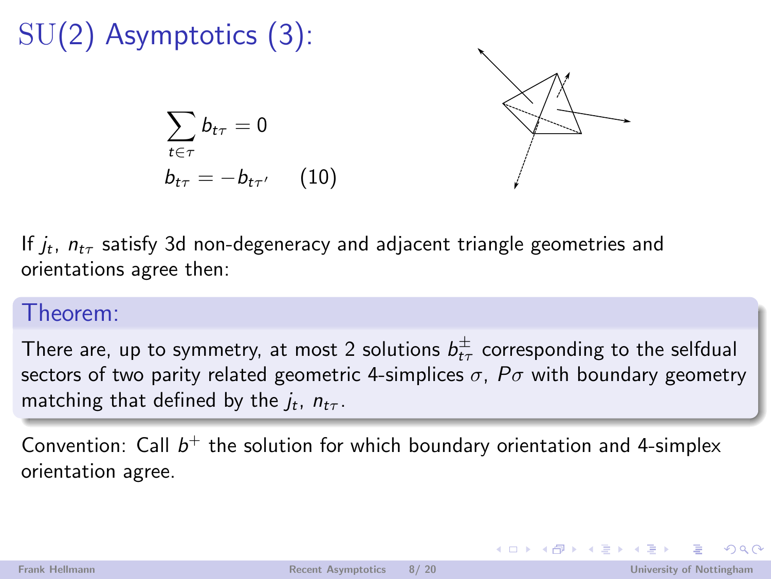

If  $j_t$ ,  $n_{t\tau}$  satisfy 3d non-degeneracy and adjacent triangle geometries and orientations agree then:

### Theorem:

There are, up to symmetry, at most 2 solutions  $b^{\pm}_{t\tau}$  corresponding to the selfdual sectors of two parity related geometric 4-simplices  $\sigma$ ,  $P\sigma$  with boundary geometry matching that defined by the  $j_t$ ,  $n_{t\tau}$ .

Convention: Call  $b^+$  the solution for which boundary orientation and 4-simplex orientation agree.

 $OQ$ 

イロメ イ押メ イヨメ イヨメー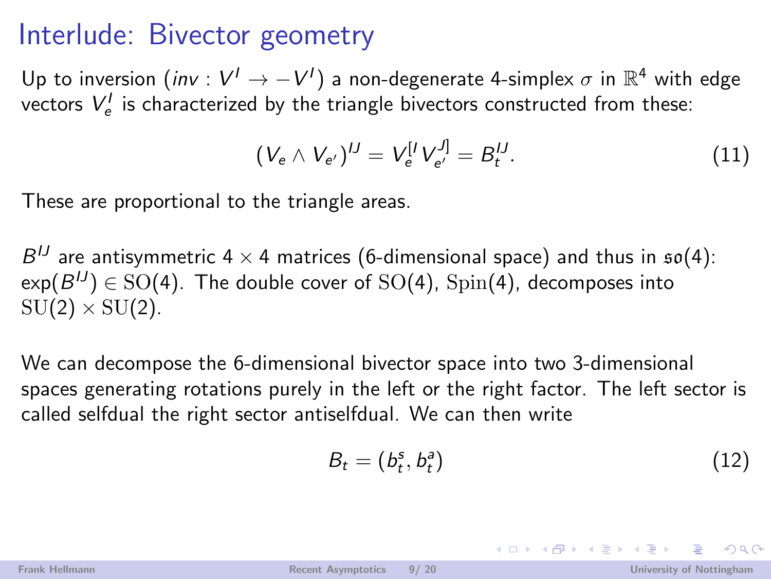### Interlude: Bivector geometry

Up to inversion  $(\mathsf{inv} : V' \to -V')$  a non-degenerate 4-simplex  $\sigma$  in  $\mathbb{R}^4$  with edge vectors  $V_{e}^{I}$  is characterized by the triangle bivectors constructed from these:

$$
(V_e \wedge V_{e'})^U = V_e^{[I} V_{e'}^{J]} = B_t^{IJ}.
$$
 (11)

These are proportional to the triangle areas.

 $B^{IJ}$  are antisymmetric 4  $\times$  4 matrices (6-dimensional space) and thus in  $\mathfrak{so}(4)$ :  $\mathsf{exp}(B^{\textit{IJ}})\in \text{SO}(4).$  The double cover of  $\text{SO}(4)$ ,  $\text{Spin}(4)$ , decomposes into  $SU(2) \times SU(2)$ .

We can decompose the 6-dimensional bivector space into two 3-dimensional spaces generating rotations purely in the left or the right factor. The left sector is called selfdual the right sector antiselfdual. We can then write

$$
B_t = (b_t^s, b_t^a) \tag{12}
$$

 $\left\{ \begin{array}{ccc} \pm & \pm & \pm \end{array} \right.$ 

 $OQ$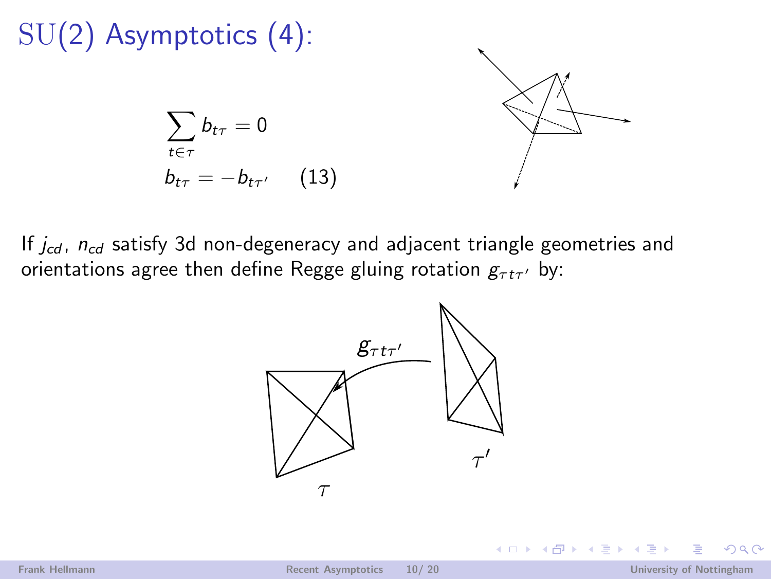# SU(2) Asymptotics (4):

$$
\sum_{t \in \tau} b_{t\tau} = 0
$$
  

$$
b_{t\tau} = -b_{t\tau'} \qquad (13)
$$



4 0 8

If  $j_{cd}$ ,  $n_{cd}$  satisfy 3d non-degeneracy and adjacent triangle geometries and orientations agree then define Regge gluing rotation  $g_{\tau t \tau'}$  by:

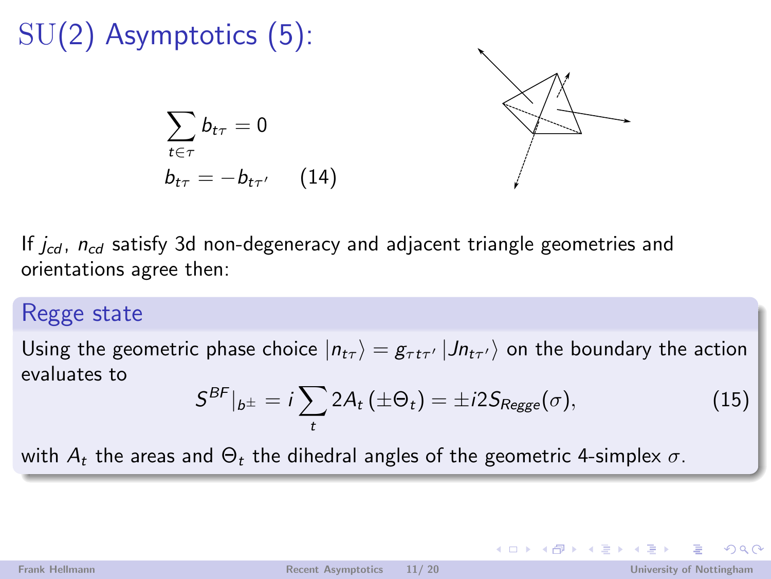## SU(2) Asymptotics (5):  $\sum$  $t \in \tau$  $b_{t\tau}=0$  $b_{t\tau} = -b_{t\tau'} \hspace{0.2in} (14)$

If  $j_{cd}$ ,  $n_{cd}$  satisfy 3d non-degeneracy and adjacent triangle geometries and orientations agree then:

### Regge state

Using the geometric phase choice  $\ket{n_{t\tau}}=g_{\tau t\tau'}\ket{Jn_{t\tau'}}$  on the boundary the action evaluates to

$$
S^{BF}|_{b^{\pm}} = i \sum_{t} 2A_t \left( \pm \Theta_t \right) = \pm i 2S_{Regge}(\sigma), \qquad (15)
$$

with  $A_t$  the areas and  $\Theta_t$  the dihedral angles of the geometric 4-simplex  $\sigma$ .

 $\Omega$ 

イロメ イ母メ イヨメ イヨメー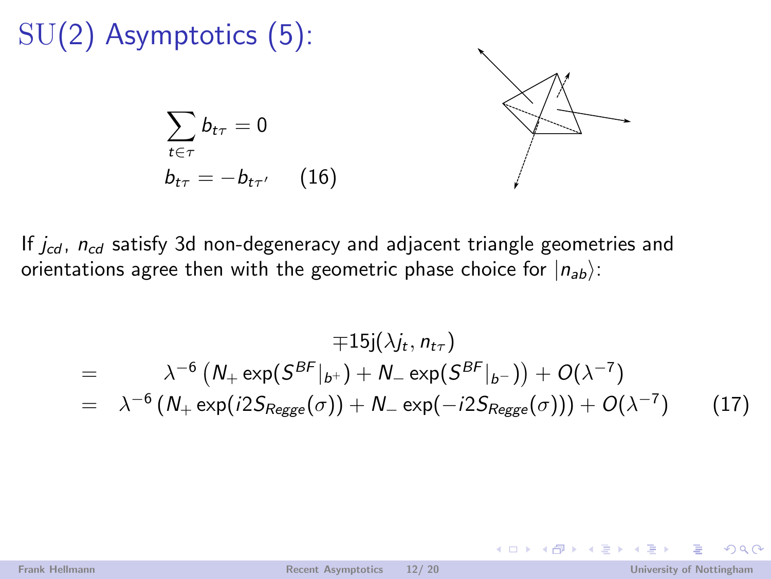## SU(2) Asymptotics (5):  $\sum$  $t \in \tau$  $b_{t\tau}=0$  $b_{t\tau} = -b_{t\tau'} \hspace{0.2in} (16)$

If  $j_{cd}$ ,  $n_{cd}$  satisfy 3d non-degeneracy and adjacent triangle geometries and orientations agree then with the geometric phase choice for  $|n_{ab}\rangle$ :

$$
\mp 15j(\lambda j_t, n_{t\tau})
$$
\n
$$
= \lambda^{-6} (N_+ \exp(S^{BF}|_{b^+}) + N_- \exp(S^{BF}|_{b^-})) + O(\lambda^{-7})
$$
\n
$$
= \lambda^{-6} (N_+ \exp(i2S_{Regge}(\sigma)) + N_- \exp(-i2S_{Regge}(\sigma))) + O(\lambda^{-7}) \qquad (17)
$$

**← ロ ▶ → 何 ▶** 

 $\rightarrow$   $\rightarrow$   $\rightarrow$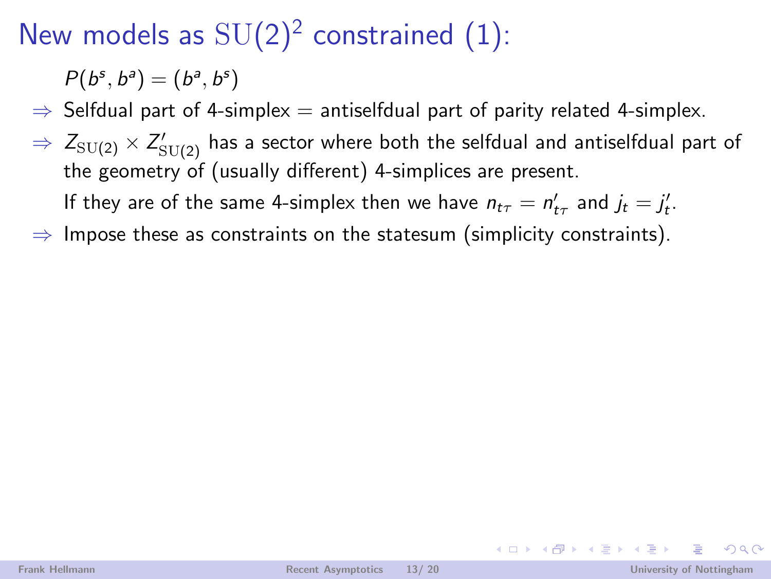# New models as  $SU(2)^2$  constrained (1):

 $P(b^s, b^a) = (b^a, b^s)$ 

 $\Rightarrow$  Selfdual part of 4-simplex  $=$  antiselfdual part of parity related 4-simplex.

 $\Rightarrow \; Z_{\mathrm{SU}(2)} \times Z'_{\mathrm{SU}(2)}$  has a sector where both the selfdual and antiselfdual part of the geometry of (usually different) 4-simplices are present.

If they are of the same 4-simplex then we have  $n_{t\tau} = n'_{t\tau}$  and  $j_t = j'_t$ .

 $\Rightarrow$  Impose these as constraints on the statesum (simplicity constraints).

 $\Omega$ 

イロト イ押ト イヨト イヨト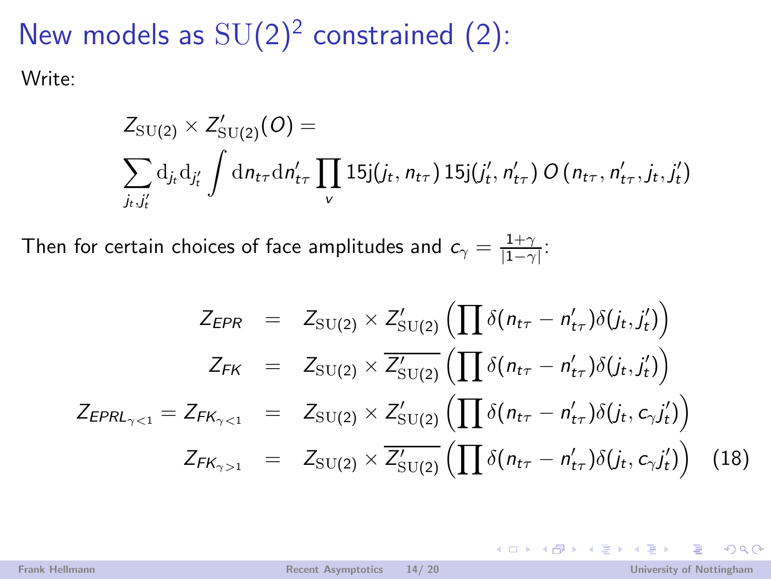New models as  $SU(2)^2$  constrained (2): Write:

$$
Z_{\text{SU(2)}} \times Z'_{\text{SU(2)}}(O) = \sum_{j_t, j'_t} d_{j_t} d_{j'_t} \int d_{n_{t\tau}} d_{n'_{t\tau}} \prod_{v} 15 j(j_t, n_{t\tau}) 15 j(j'_t, n'_{t\tau}) O(n_{t\tau}, n'_{t\tau}, j_t, j'_t)
$$

Then for certain choices of face amplitudes and  $c_\gamma = \frac{1+\gamma}{|1-\gamma|}$ :

$$
Z_{EPR} = Z_{SU(2)} \times Z'_{SU(2)} \left( \prod \delta(n_{t\tau} - n'_{t\tau}) \delta(j_t, j'_t) \right)
$$
  
\n
$$
Z_{FK} = Z_{SU(2)} \times \overline{Z'_{SU(2)}} \left( \prod \delta(n_{t\tau} - n'_{t\tau}) \delta(j_t, j'_t) \right)
$$
  
\n
$$
Z_{EPRL_{\gamma < 1}} = Z_{FK_{\gamma < 1}} = Z_{SU(2)} \times Z'_{SU(2)} \left( \prod \delta(n_{t\tau} - n'_{t\tau}) \delta(j_t, c_{\gamma} j'_t) \right)
$$
  
\n
$$
Z_{FK_{\gamma > 1}} = Z_{SU(2)} \times \overline{Z'_{SU(2)}} \left( \prod \delta(n_{t\tau} - n'_{t\tau}) \delta(j_t, c_{\gamma} j'_t) \right) \tag{18}
$$

 $OQ$ 

イロメ イ部メ イ君メ イ君メ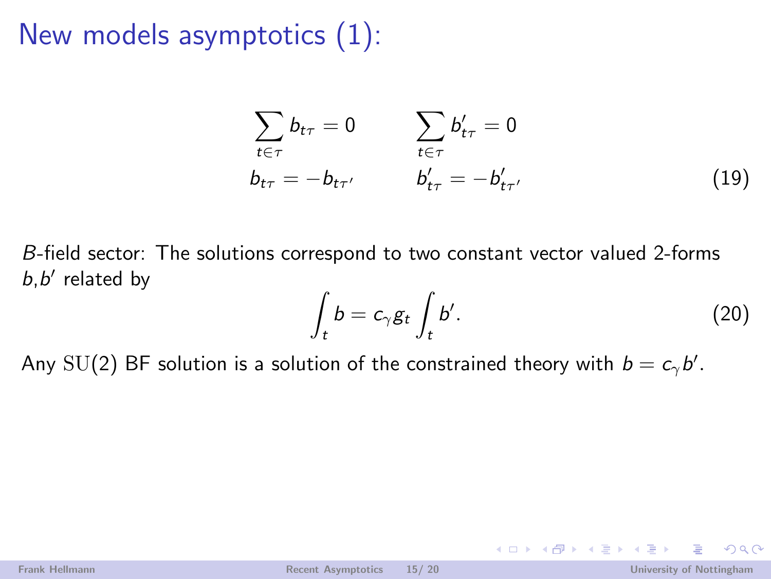## New models asymptotics (1):

$$
\sum_{t \in \tau} b_{t\tau} = 0 \qquad \sum_{t \in \tau} b'_{t\tau} = 0
$$
\n
$$
b_{t\tau} = -b_{t\tau'} \qquad b'_{t\tau} = -b'_{t\tau'}
$$
\n(19)

B-field sector: The solutions correspond to two constant vector valued 2-forms  $b,b'$  related by

$$
\int_{t} b = c_{\gamma} g_{t} \int_{t} b'.
$$
\n(20)

イロト イ伊 トイヨ トイヨト

Any  $\mathrm{SU}(2)$  BF solution is a solution of the constrained theory with  $b=c_\gamma b'.$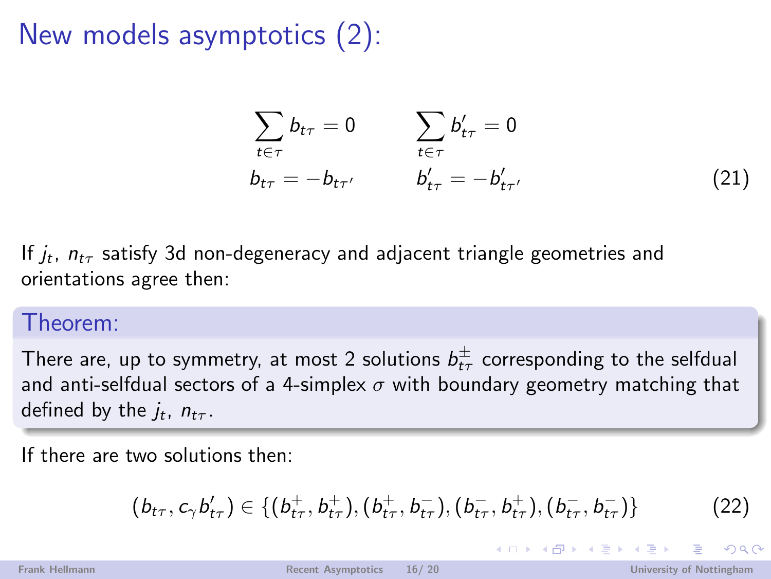## New models asymptotics (2):

$$
\sum_{t \in \tau} b_{t\tau} = 0 \qquad \sum_{t \in \tau} b'_{t\tau} = 0
$$
\n
$$
b_{t\tau} = -b_{t\tau'} \qquad b'_{t\tau} = -b'_{t\tau'} \qquad (21)
$$

If  $j_t$ ,  $n_{t\tau}$  satisfy 3d non-degeneracy and adjacent triangle geometries and orientations agree then:

### Theorem:

There are, up to symmetry, at most 2 solutions  $b^{\pm}_{t\tau}$  corresponding to the selfdual and anti-selfdual sectors of a 4-simplex  $\sigma$  with boundary geometry matching that defined by the  $j_t$ ,  $n_{t\tau}$ .

If there are two solutions then:

$$
(b_{t\tau}, c_{\gamma} b'_{t\tau}) \in \{ (b_{t\tau}^+, b_{t\tau}^+), (b_{t\tau}^+, b_{t\tau}^-), (b_{t\tau}^-, b_{t\tau}^+), (b_{t\tau}^-, b_{t\tau}^-) \}
$$
(22)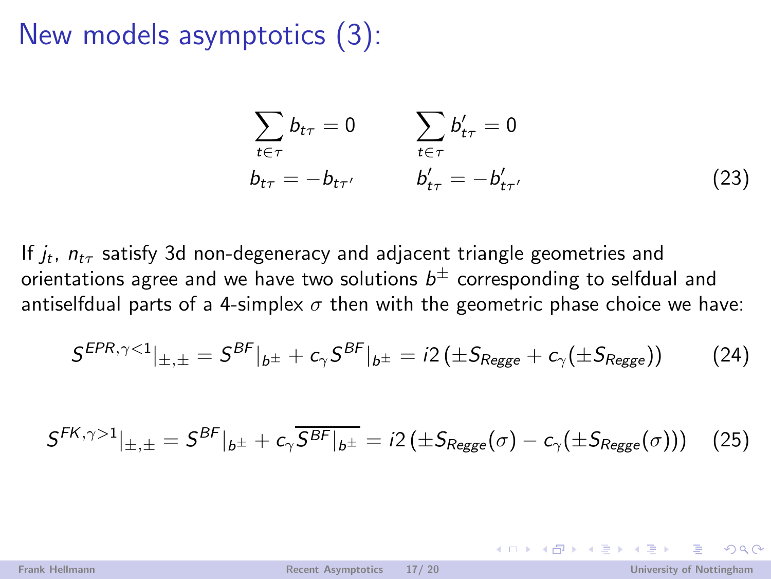New models asymptotics (3):

$$
\sum_{t \in \tau} b_{t\tau} = 0 \qquad \sum_{t \in \tau} b'_{t\tau} = 0
$$
\n
$$
b_{t\tau} = -b_{t\tau'} \qquad b'_{t\tau} = -b'_{t\tau'}
$$
\n
$$
(23)
$$

If  $j_t$ ,  $n_{t\tau}$  satisfy 3d non-degeneracy and adjacent triangle geometries and orientations agree and we have two solutions  $b^\pm$  corresponding to selfdual and antiselfdual parts of a 4-simplex  $\sigma$  then with the geometric phase choice we have:

$$
S^{EPR,\gamma<1}|_{\pm,\pm} = S^{BF}|_{b^{\pm}} + c_{\gamma} S^{BF}|_{b^{\pm}} = i2 \left( \pm S_{Regge} + c_{\gamma} (\pm S_{Regge}) \right) \tag{24}
$$

$$
S^{FK,\gamma>1}|_{\pm,\pm} = S^{BF}|_{b^{\pm}} + c_{\gamma} \overline{S^{BF}|_{b^{\pm}}} = i2 \left( \pm S_{Regge}(\sigma) - c_{\gamma}(\pm S_{Regge}(\sigma)) \right) \quad (25)
$$

 $\Omega$ 

イロメ イ押メ イヨメ イヨメー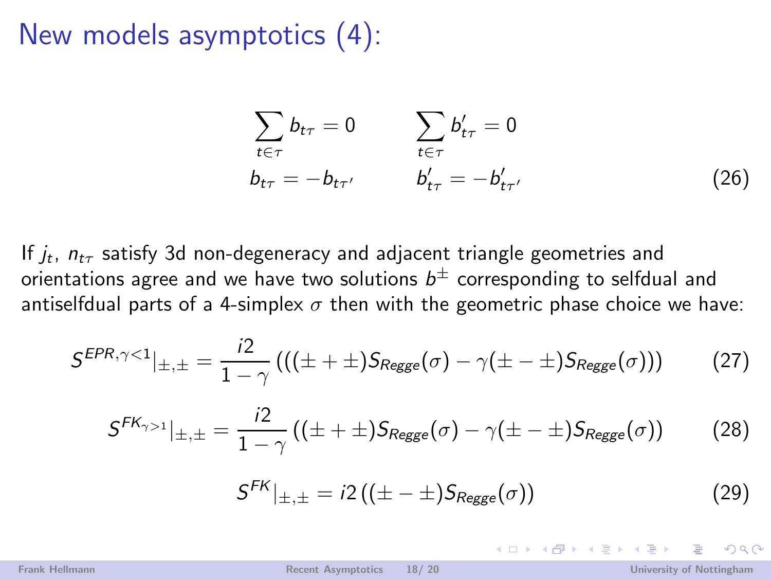New models asymptotics (4):

$$
\sum_{t \in \tau} b_{t\tau} = 0 \qquad \sum_{t \in \tau} b'_{t\tau} = 0
$$
\n
$$
b_{t\tau} = -b_{t\tau'} \qquad b'_{t\tau} = -b'_{t\tau'} \qquad (26)
$$

If  $j_t$ ,  $n_{t\tau}$  satisfy 3d non-degeneracy and adjacent triangle geometries and orientations agree and we have two solutions  $b^\pm$  corresponding to selfdual and antiselfdual parts of a 4-simplex  $\sigma$  then with the geometric phase choice we have:

$$
S^{EPR, \gamma < 1}|_{\pm, \pm} = \frac{i2}{1 - \gamma} \left( \left( (\pm + \pm) S_{Regge}(\sigma) - \gamma (\pm - \pm) S_{Regge}(\sigma) \right) \right) \tag{27}
$$

$$
S^{FK_{\gamma>1}}|_{\pm,\pm} = \frac{i2}{1-\gamma} \left( (\pm + \pm) S_{Regge}(\sigma) - \gamma (\pm - \pm) S_{Regge}(\sigma) \right) \tag{28}
$$

$$
S^{FK}|_{\pm,\pm} = i2\left((\pm - \pm)S_{Regge}(\sigma)\right)
$$
 (29)

イロト イ押ト イラト イラト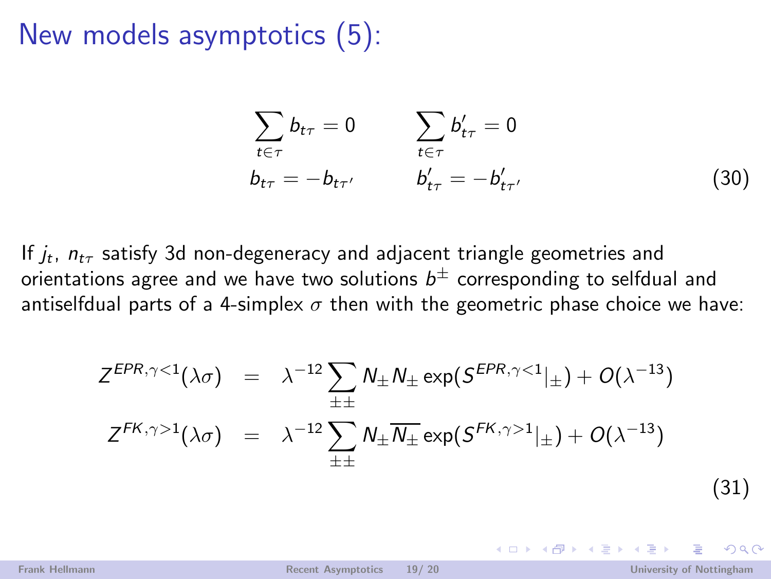### New models asymptotics (5):

$$
\sum_{t \in \tau} b_{t\tau} = 0 \qquad \sum_{t \in \tau} b'_{t\tau} = 0
$$
\n
$$
b_{t\tau} = -b_{t\tau'} \qquad b'_{t\tau} = -b'_{t\tau'} \qquad (30)
$$

If  $j_t$ ,  $n_{t\tau}$  satisfy 3d non-degeneracy and adjacent triangle geometries and orientations agree and we have two solutions  $b^\pm$  corresponding to selfdual and antiselfdual parts of a 4-simplex  $\sigma$  then with the geometric phase choice we have:

$$
Z^{EPR,\gamma<1}(\lambda\sigma) = \lambda^{-12} \sum_{\pm\pm} N_{\pm} N_{\pm} \exp(S^{EPR,\gamma<1}|_{\pm}) + O(\lambda^{-13})
$$
  

$$
Z^{FK,\gamma>1}(\lambda\sigma) = \lambda^{-12} \sum_{\pm\pm} N_{\pm} \overline{N_{\pm}} \exp(S^{FK,\gamma>1}|_{\pm}) + O(\lambda^{-13})
$$
(31)

 $\Omega$ 

イロメ イ押 トイラメ イラメ